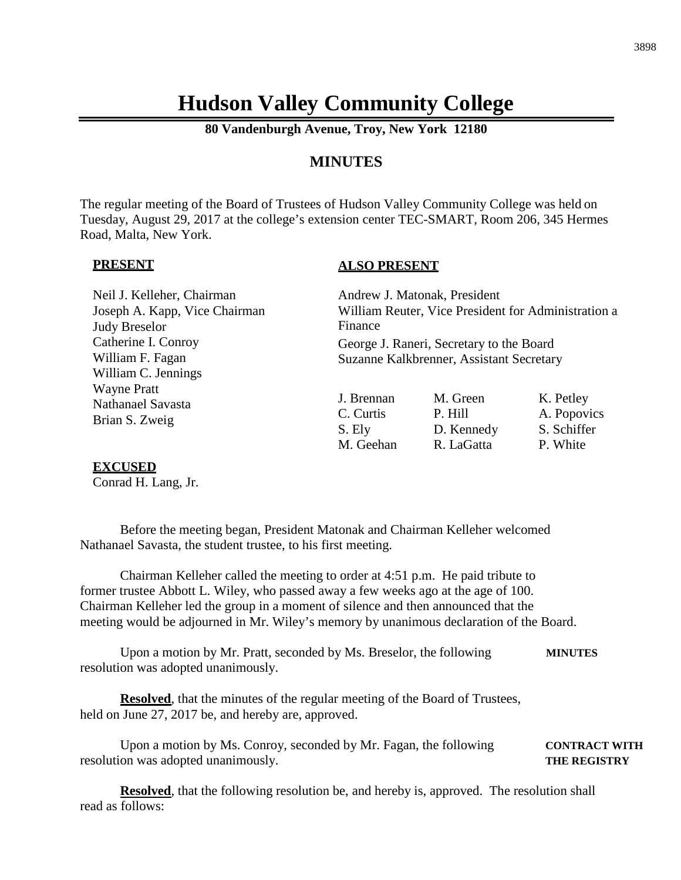# **Hudson Valley Community College**

**80 Vandenburgh Avenue, Troy, New York 12180**

## **MINUTES**

The regular meeting of the Board of Trustees of Hudson Valley Community College was held on Tuesday, August 29, 2017 at the college's extension center TEC-SMART, Room 206, 345 Hermes Road, Malta, New York.

#### **PRESENT**

#### **ALSO PRESENT**

| Neil J. Kelleher, Chairman<br>Joseph A. Kapp, Vice Chairman<br><b>Judy Breselor</b> | Finance                                        | Andrew J. Matonak, President<br>William Reuter, Vice President for Administration a  |                                                     |  |
|-------------------------------------------------------------------------------------|------------------------------------------------|--------------------------------------------------------------------------------------|-----------------------------------------------------|--|
| Catherine I. Conroy<br>William F. Fagan<br>William C. Jennings                      |                                                | George J. Raneri, Secretary to the Board<br>Suzanne Kalkbrenner, Assistant Secretary |                                                     |  |
| <b>Wayne Pratt</b><br>Nathanael Savasta<br>Brian S. Zweig                           | J. Brennan<br>C. Curtis<br>S. Ely<br>M. Geehan | M. Green<br>P. Hill<br>D. Kennedy<br>R. LaGatta                                      | K. Petley<br>A. Popovics<br>S. Schiffer<br>P. White |  |

#### **EXCUSED**

Conrad H. Lang, Jr.

Before the meeting began, President Matonak and Chairman Kelleher welcomed Nathanael Savasta, the student trustee, to his first meeting.

Chairman Kelleher called the meeting to order at 4:51 p.m. He paid tribute to former trustee Abbott L. Wiley, who passed away a few weeks ago at the age of 100. Chairman Kelleher led the group in a moment of silence and then announced that the meeting would be adjourned in Mr. Wiley's memory by unanimous declaration of the Board.

Upon a motion by Mr. Pratt, seconded by Ms. Breselor, the following **MINUTES** resolution was adopted unanimously.

**Resolved**, that the minutes of the regular meeting of the Board of Trustees, held on June 27, 2017 be, and hereby are, approved.

Upon a motion by Ms. Conroy, seconded by Mr. Fagan, the following **CONTRACT WITH** resolution was adopted unanimously. **THE REGISTRY**

**Resolved**, that the following resolution be, and hereby is, approved. The resolution shall read as follows: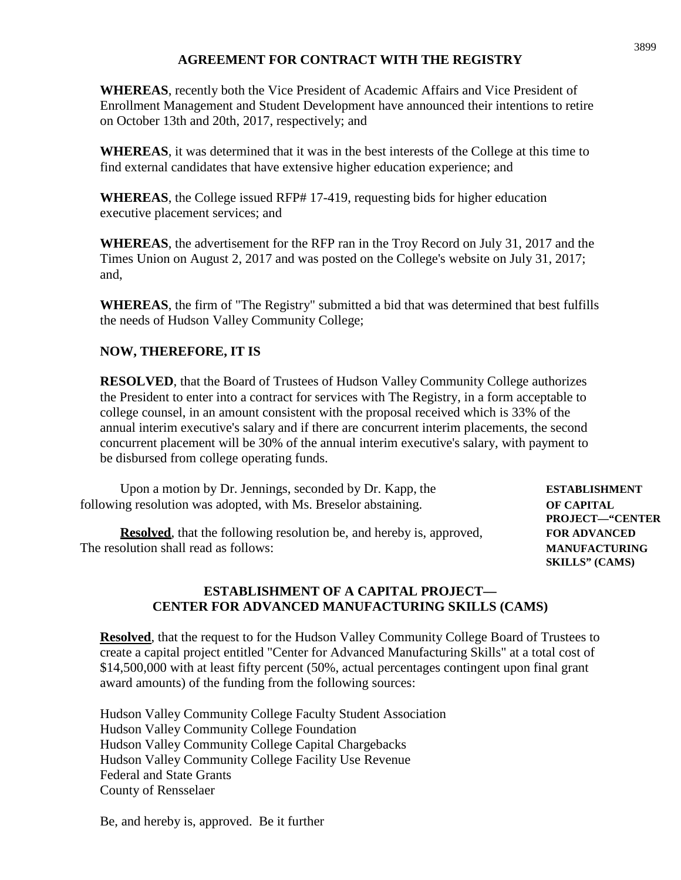## **AGREEMENT FOR CONTRACT WITH THE REGISTRY**

**WHEREAS**, recently both the Vice President of Academic Affairs and Vice President of Enrollment Management and Student Development have announced their intentions to retire on October 13th and 20th, 2017, respectively; and

**WHEREAS**, it was determined that it was in the best interests of the College at this time to find external candidates that have extensive higher education experience; and

**WHEREAS**, the College issued RFP# 17-419, requesting bids for higher education executive placement services; and

**WHEREAS**, the advertisement for the RFP ran in the Troy Record on July 31, 2017 and the Times Union on August 2, 2017 and was posted on the College's website on July 31, 2017; and,

**WHEREAS**, the firm of "The Registry" submitted a bid that was determined that best fulfills the needs of Hudson Valley Community College;

## **NOW, THEREFORE, IT IS**

**RESOLVED**, that the Board of Trustees of Hudson Valley Community College authorizes the President to enter into a contract for services with The Registry, in a form acceptable to college counsel, in an amount consistent with the proposal received which is 33% of the annual interim executive's salary and if there are concurrent interim placements, the second concurrent placement will be 30% of the annual interim executive's salary, with payment to be disbursed from college operating funds.

Upon a motion by Dr. Jennings, seconded by Dr. Kapp, the **ESTABLISHMENT** following resolution was adopted, with Ms. Breselor abstaining. **OF CAPITAL**

**Resolved**, that the following resolution be, and hereby is, approved, **FOR ADVANCED** The resolution shall read as follows: **MANUFACTURING**

**PROJECT—"CENTER SKILLS" (CAMS)**

#### **ESTABLISHMENT OF A CAPITAL PROJECT— CENTER FOR ADVANCED MANUFACTURING SKILLS (CAMS)**

**Resolved**, that the request to for the Hudson Valley Community College Board of Trustees to create a capital project entitled "Center for Advanced Manufacturing Skills" at a total cost of \$14,500,000 with at least fifty percent (50%, actual percentages contingent upon final grant award amounts) of the funding from the following sources:

Hudson Valley Community College Faculty Student Association Hudson Valley Community College Foundation Hudson Valley Community College Capital Chargebacks Hudson Valley Community College Facility Use Revenue Federal and State Grants County of Rensselaer

Be, and hereby is, approved. Be it further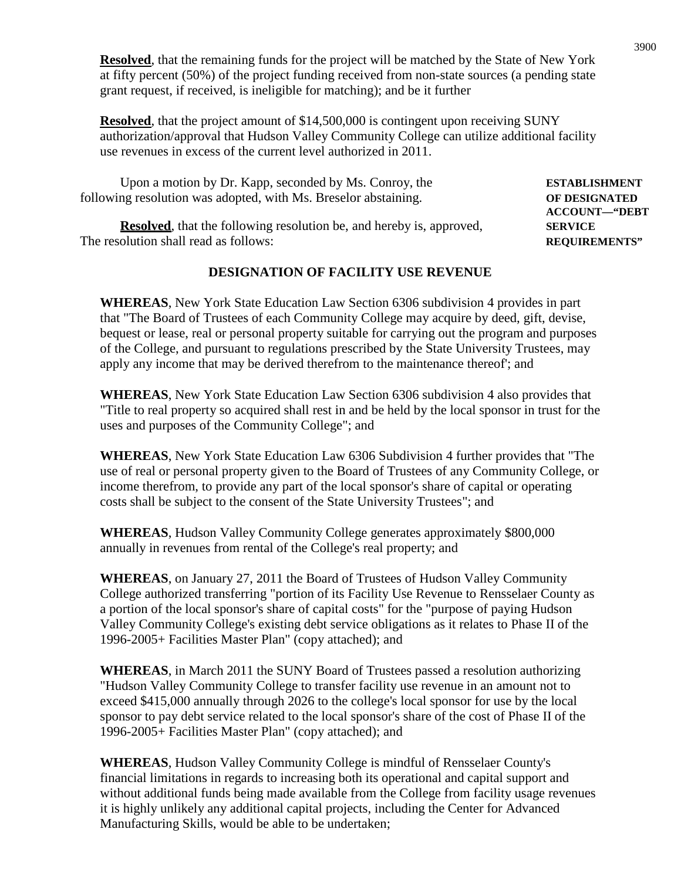**Resolved**, that the remaining funds for the project will be matched by the State of New York at fifty percent (50%) of the project funding received from non-state sources (a pending state grant request, if received, is ineligible for matching); and be it further

**Resolved**, that the project amount of \$14,500,000 is contingent upon receiving SUNY authorization/approval that Hudson Valley Community College can utilize additional facility use revenues in excess of the current level authorized in 2011.

Upon a motion by Dr. Kapp, seconded by Ms. Conroy, the **ESTABLISHMENT** following resolution was adopted, with Ms. Breselor abstaining. **OF DESIGNATED ACCOUNT—"DEBT**

**Resolved**, that the following resolution be, and hereby is, approved, **SERVICE** The resolution shall read as follows: **REQUIREMENTS"**

### **DESIGNATION OF FACILITY USE REVENUE**

**WHEREAS**, New York State Education Law Section 6306 subdivision 4 provides in part that "The Board of Trustees of each Community College may acquire by deed, gift, devise, bequest or lease, real or personal property suitable for carrying out the program and purposes of the College, and pursuant to regulations prescribed by the State University Trustees, may apply any income that may be derived therefrom to the maintenance thereof'; and

**WHEREAS**, New York State Education Law Section 6306 subdivision 4 also provides that "Title to real property so acquired shall rest in and be held by the local sponsor in trust for the uses and purposes of the Community College"; and

**WHEREAS**, New York State Education Law 6306 Subdivision 4 further provides that "The use of real or personal property given to the Board of Trustees of any Community College, or income therefrom, to provide any part of the local sponsor's share of capital or operating costs shall be subject to the consent of the State University Trustees"; and

**WHEREAS**, Hudson Valley Community College generates approximately \$800,000 annually in revenues from rental of the College's real property; and

**WHEREAS**, on January 27, 2011 the Board of Trustees of Hudson Valley Community College authorized transferring "portion of its Facility Use Revenue to Rensselaer County as a portion of the local sponsor's share of capital costs" for the "purpose of paying Hudson Valley Community College's existing debt service obligations as it relates to Phase II of the 1996-2005+ Facilities Master Plan" (copy attached); and

**WHEREAS**, in March 2011 the SUNY Board of Trustees passed a resolution authorizing "Hudson Valley Community College to transfer facility use revenue in an amount not to exceed \$415,000 annually through 2026 to the college's local sponsor for use by the local sponsor to pay debt service related to the local sponsor's share of the cost of Phase II of the 1996-2005+ Facilities Master Plan" (copy attached); and

**WHEREAS**, Hudson Valley Community College is mindful of Rensselaer County's financial limitations in regards to increasing both its operational and capital support and without additional funds being made available from the College from facility usage revenues it is highly unlikely any additional capital projects, including the Center for Advanced Manufacturing Skills, would be able to be undertaken;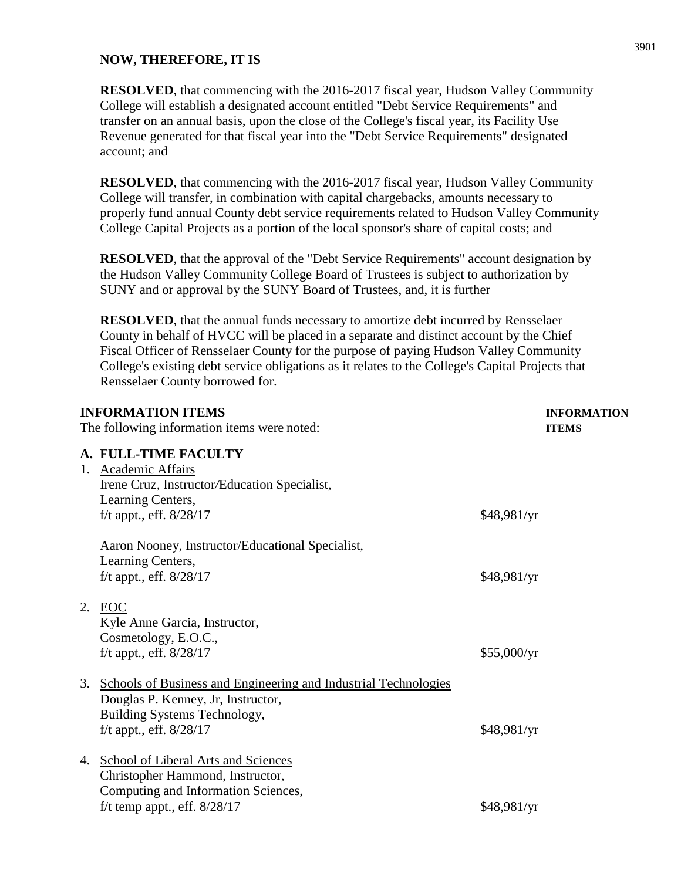#### **NOW, THEREFORE, IT IS**

**RESOLVED**, that commencing with the 2016-2017 fiscal year, Hudson Valley Community College will establish a designated account entitled "Debt Service Requirements" and transfer on an annual basis, upon the close of the College's fiscal year, its Facility Use Revenue generated for that fiscal year into the "Debt Service Requirements" designated account; and

**RESOLVED**, that commencing with the 2016-2017 fiscal year, Hudson Valley Community College will transfer, in combination with capital chargebacks, amounts necessary to properly fund annual County debt service requirements related to Hudson Valley Community College Capital Projects as a portion of the local sponsor's share of capital costs; and

**RESOLVED**, that the approval of the "Debt Service Requirements" account designation by the Hudson Valley Community College Board of Trustees is subject to authorization by SUNY and or approval by the SUNY Board of Trustees, and, it is further

**RESOLVED**, that the annual funds necessary to amortize debt incurred by Rensselaer County in behalf of HVCC will be placed in a separate and distinct account by the Chief Fiscal Officer of Rensselaer County for the purpose of paying Hudson Valley Community College's existing debt service obligations as it relates to the College's Capital Projects that Rensselaer County borrowed for.

| <b>INFORMATION ITEMS</b>                         |                                                                                                                                                                                                                                                                                                            | <b>INFORMATION</b> |
|--------------------------------------------------|------------------------------------------------------------------------------------------------------------------------------------------------------------------------------------------------------------------------------------------------------------------------------------------------------------|--------------------|
|                                                  |                                                                                                                                                                                                                                                                                                            | <b>ITEMS</b>       |
|                                                  |                                                                                                                                                                                                                                                                                                            |                    |
|                                                  |                                                                                                                                                                                                                                                                                                            |                    |
| Irene Cruz, Instructor/Education Specialist,     |                                                                                                                                                                                                                                                                                                            |                    |
| Learning Centers,                                |                                                                                                                                                                                                                                                                                                            |                    |
| f/t appt., eff. $8/28/17$                        | \$48,981/yr                                                                                                                                                                                                                                                                                                |                    |
| Aaron Nooney, Instructor/Educational Specialist, |                                                                                                                                                                                                                                                                                                            |                    |
| Learning Centers,                                |                                                                                                                                                                                                                                                                                                            |                    |
| f/t appt., eff. $8/28/17$                        | \$48,981/yr                                                                                                                                                                                                                                                                                                |                    |
|                                                  |                                                                                                                                                                                                                                                                                                            |                    |
|                                                  |                                                                                                                                                                                                                                                                                                            |                    |
|                                                  |                                                                                                                                                                                                                                                                                                            |                    |
|                                                  |                                                                                                                                                                                                                                                                                                            |                    |
|                                                  |                                                                                                                                                                                                                                                                                                            |                    |
| Douglas P. Kenney, Jr, Instructor,               |                                                                                                                                                                                                                                                                                                            |                    |
| Building Systems Technology,                     |                                                                                                                                                                                                                                                                                                            |                    |
| f/t appt., eff. $8/28/17$                        | \$48,981/yr                                                                                                                                                                                                                                                                                                |                    |
|                                                  |                                                                                                                                                                                                                                                                                                            |                    |
| Christopher Hammond, Instructor,                 |                                                                                                                                                                                                                                                                                                            |                    |
| Computing and Information Sciences,              |                                                                                                                                                                                                                                                                                                            |                    |
| f/t temp appt., eff. $8/28/17$                   | \$48,981/yr                                                                                                                                                                                                                                                                                                |                    |
|                                                  | The following information items were noted:<br>A. FULL-TIME FACULTY<br>1. Academic Affairs<br>2. EOC<br>Kyle Anne Garcia, Instructor,<br>Cosmetology, E.O.C.,<br>f/t appt., eff. $8/28/17$<br>3. Schools of Business and Engineering and Industrial Technologies<br>4. School of Liberal Arts and Sciences | \$55,000/yr        |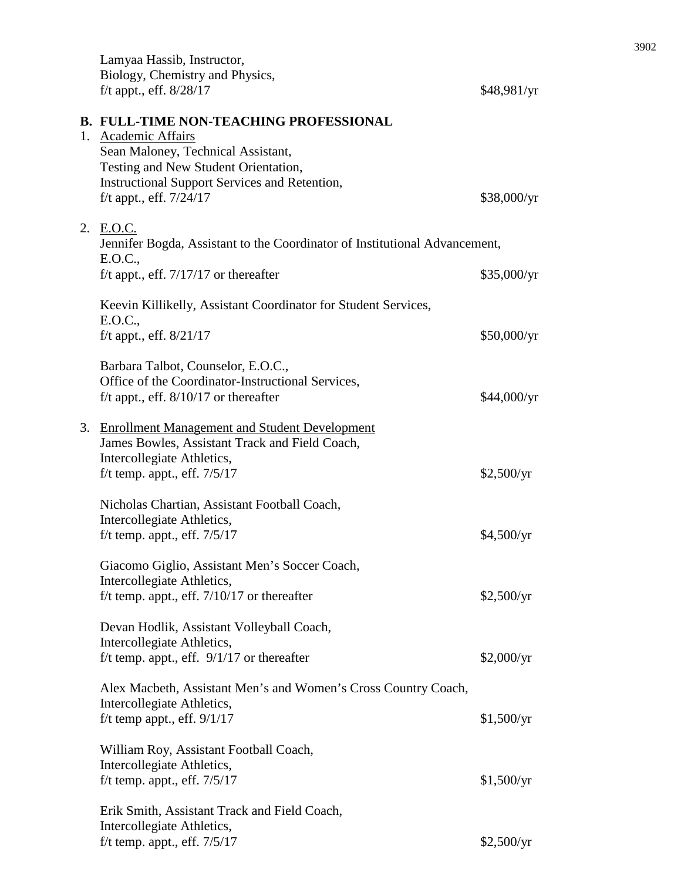|  | Lamyaa Hassib, Instructor,<br>Biology, Chemistry and Physics,<br>f/t appt., eff. $8/28/17$ | \$48,981/yr |  |
|--|--------------------------------------------------------------------------------------------|-------------|--|
|  | <b>B. FULL-TIME NON-TEACHING PROFESSIONAL</b>                                              |             |  |
|  | 1. Academic Affairs                                                                        |             |  |
|  | Sean Maloney, Technical Assistant,<br>Testing and New Student Orientation,                 |             |  |
|  | <b>Instructional Support Services and Retention,</b>                                       |             |  |
|  | f/t appt., eff. $7/24/17$                                                                  | \$38,000/yr |  |
|  | 2. E.O.C.                                                                                  |             |  |
|  | Jennifer Bogda, Assistant to the Coordinator of Institutional Advancement,<br>E.O.C.,      |             |  |
|  | f/t appt., eff. $7/17/17$ or thereafter                                                    | \$35,000/yr |  |
|  | Keevin Killikelly, Assistant Coordinator for Student Services,<br>E.O.C.,                  |             |  |
|  | f/t appt., eff. $8/21/17$                                                                  | \$50,000/yr |  |
|  | Barbara Talbot, Counselor, E.O.C.,                                                         |             |  |
|  | Office of the Coordinator-Instructional Services,                                          |             |  |
|  | f/t appt., eff. $8/10/17$ or thereafter                                                    | \$44,000/yr |  |
|  | 3. Enrollment Management and Student Development                                           |             |  |
|  | James Bowles, Assistant Track and Field Coach,                                             |             |  |
|  | Intercollegiate Athletics,<br>f/t temp. appt., eff. $7/5/17$                               | \$2,500/yr  |  |
|  |                                                                                            |             |  |
|  | Nicholas Chartian, Assistant Football Coach,                                               |             |  |
|  | Intercollegiate Athletics,<br>f/t temp. appt., eff. $7/5/17$                               | \$4,500/yr  |  |
|  |                                                                                            |             |  |
|  | Giacomo Giglio, Assistant Men's Soccer Coach,                                              |             |  |
|  | Intercollegiate Athletics,                                                                 |             |  |
|  | f/t temp. appt., eff. $7/10/17$ or thereafter                                              | \$2,500/yr  |  |
|  | Devan Hodlik, Assistant Volleyball Coach,                                                  |             |  |
|  | Intercollegiate Athletics,                                                                 |             |  |
|  | f/t temp. appt., eff. $9/1/17$ or thereafter                                               | \$2,000/yr  |  |
|  | Alex Macbeth, Assistant Men's and Women's Cross Country Coach,                             |             |  |
|  | Intercollegiate Athletics,                                                                 |             |  |
|  | f/t temp appt., eff. $9/1/17$                                                              | \$1,500/yr  |  |
|  | William Roy, Assistant Football Coach,                                                     |             |  |
|  | Intercollegiate Athletics,<br>f/t temp. appt., eff. $7/5/17$                               | \$1,500/yr  |  |
|  |                                                                                            |             |  |
|  | Erik Smith, Assistant Track and Field Coach,                                               |             |  |
|  | Intercollegiate Athletics,                                                                 |             |  |
|  | f/t temp. appt., eff. $7/5/17$                                                             | \$2,500/yr  |  |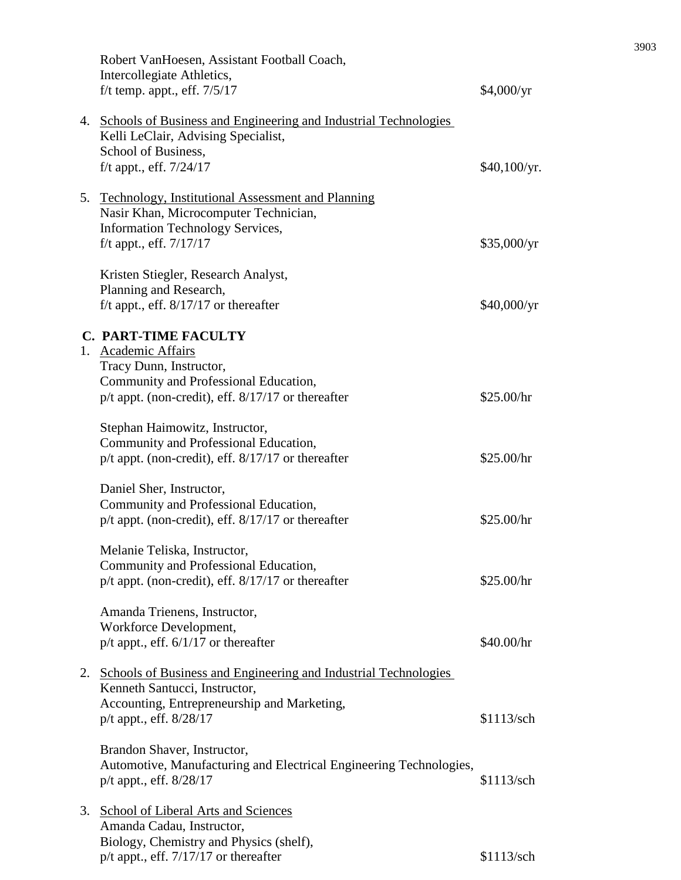|    | Robert VanHoesen, Assistant Football Coach,<br>Intercollegiate Athletics,<br>f/t temp. appt., eff. $7/5/17$                                                    | \$4,000/yr   |
|----|----------------------------------------------------------------------------------------------------------------------------------------------------------------|--------------|
|    | 4. Schools of Business and Engineering and Industrial Technologies<br>Kelli LeClair, Advising Specialist,                                                      |              |
|    | School of Business,<br>f/t appt., eff. $7/24/17$                                                                                                               | \$40,100/yr. |
|    | 5. Technology, Institutional Assessment and Planning<br>Nasir Khan, Microcomputer Technician,<br>Information Technology Services,<br>f/t appt., eff. $7/17/17$ | \$35,000/yr  |
|    | Kristen Stiegler, Research Analyst,<br>Planning and Research,<br>f/t appt., eff. $8/17/17$ or thereafter                                                       | \$40,000/yr  |
|    | <b>C. PART-TIME FACULTY</b>                                                                                                                                    |              |
|    | 1. Academic Affairs<br>Tracy Dunn, Instructor,<br>Community and Professional Education,<br>$p/t$ appt. (non-credit), eff. $8/17/17$ or thereafter              | \$25.00/hr   |
|    | Stephan Haimowitz, Instructor,<br>Community and Professional Education,<br>$p/t$ appt. (non-credit), eff. $8/17/17$ or thereafter                              | \$25.00/hr   |
|    | Daniel Sher, Instructor,<br>Community and Professional Education,<br>p/t appt. (non-credit), eff. 8/17/17 or thereafter                                        | \$25.00/hr   |
|    | Melanie Teliska, Instructor,<br>Community and Professional Education,<br>$p/t$ appt. (non-credit), eff. $8/17/17$ or thereafter                                | \$25.00/hr   |
|    | Amanda Trienens, Instructor,<br>Workforce Development,<br>$p/t$ appt., eff. $6/1/17$ or thereafter                                                             | \$40.00/hr   |
|    | 2. Schools of Business and Engineering and Industrial Technologies<br>Kenneth Santucci, Instructor,<br>Accounting, Entrepreneurship and Marketing,             |              |
|    | p/t appt., eff. 8/28/17                                                                                                                                        | \$1113/sch   |
|    | Brandon Shaver, Instructor,<br>Automotive, Manufacturing and Electrical Engineering Technologies,<br>p/t appt., eff. 8/28/17                                   | \$1113/sch   |
| 3. | School of Liberal Arts and Sciences<br>Amanda Cadau, Instructor,<br>Biology, Chemistry and Physics (shelf),<br>$p/t$ appt., eff. $7/17/17$ or thereafter       | \$1113/sch   |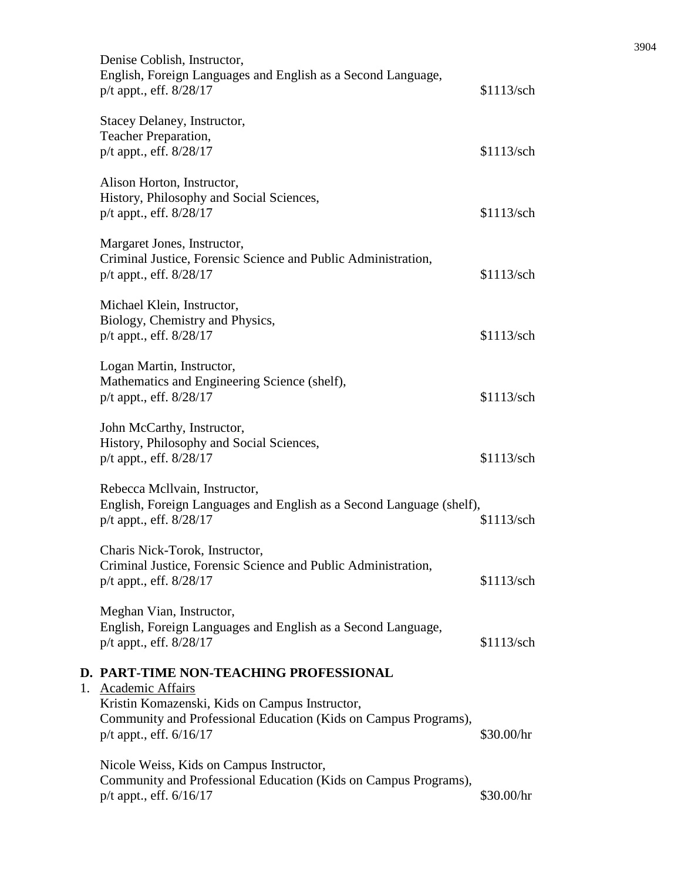|    | Denise Coblish, Instructor,<br>English, Foreign Languages and English as a Second Language,<br>p/t appt., eff. 8/28/17                                               | \$1113/sch |
|----|----------------------------------------------------------------------------------------------------------------------------------------------------------------------|------------|
|    | Stacey Delaney, Instructor,<br>Teacher Preparation,<br>p/t appt., eff. 8/28/17                                                                                       | \$1113/sch |
|    | Alison Horton, Instructor,<br>History, Philosophy and Social Sciences,<br>p/t appt., eff. 8/28/17                                                                    | \$1113/sch |
|    | Margaret Jones, Instructor,<br>Criminal Justice, Forensic Science and Public Administration,<br>$p/t$ appt., eff. $8/28/17$                                          | \$1113/sch |
|    | Michael Klein, Instructor,<br>Biology, Chemistry and Physics,<br>p/t appt., eff. 8/28/17                                                                             | \$1113/sch |
|    | Logan Martin, Instructor,<br>Mathematics and Engineering Science (shelf),<br>p/t appt., eff. 8/28/17                                                                 | \$1113/sch |
|    | John McCarthy, Instructor,<br>History, Philosophy and Social Sciences,<br>$p/t$ appt., eff. $8/28/17$                                                                | \$1113/sch |
|    | Rebecca Mcllvain, Instructor,<br>English, Foreign Languages and English as a Second Language (shelf),<br>p/t appt., eff. 8/28/17                                     | \$1113/sch |
|    | Charis Nick-Torok, Instructor,<br>Criminal Justice, Forensic Science and Public Administration,<br>p/t appt., eff. 8/28/17                                           | \$1113/sch |
|    | Meghan Vian, Instructor,<br>English, Foreign Languages and English as a Second Language,<br>p/t appt., eff. 8/28/17                                                  | \$1113/sch |
|    | D. PART-TIME NON-TEACHING PROFESSIONAL                                                                                                                               |            |
| 1. | Academic Affairs<br>Kristin Komazenski, Kids on Campus Instructor,<br>Community and Professional Education (Kids on Campus Programs),<br>$p/t$ appt., eff. $6/16/17$ | \$30.00/hr |
|    | Nicole Weiss, Kids on Campus Instructor,<br>Community and Professional Education (Kids on Campus Programs),<br>$p/t$ appt., eff. $6/16/17$                           | \$30.00/hr |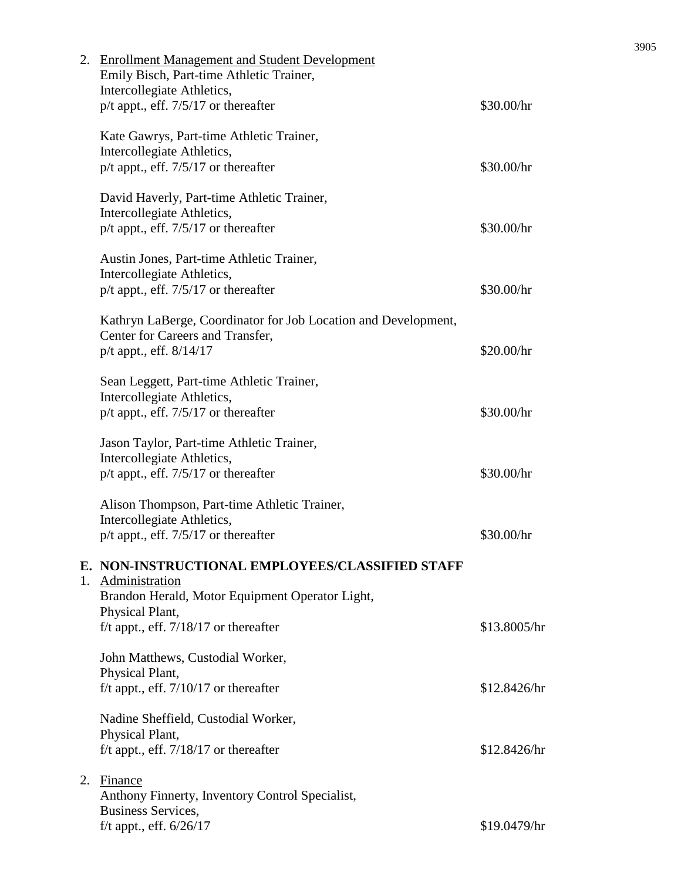|    | 2. Enrollment Management and Student Development<br>Emily Bisch, Part-time Athletic Trainer,<br>Intercollegiate Athletics,    |              |
|----|-------------------------------------------------------------------------------------------------------------------------------|--------------|
|    | $p/t$ appt., eff. 7/5/17 or thereafter                                                                                        | \$30.00/hr   |
|    | Kate Gawrys, Part-time Athletic Trainer,<br>Intercollegiate Athletics,                                                        |              |
|    | $p/t$ appt., eff. $7/5/17$ or thereafter                                                                                      | \$30.00/hr   |
|    | David Haverly, Part-time Athletic Trainer,<br>Intercollegiate Athletics,                                                      |              |
|    | $p/t$ appt., eff. $7/5/17$ or thereafter                                                                                      | \$30.00/hr   |
|    | Austin Jones, Part-time Athletic Trainer,<br>Intercollegiate Athletics,                                                       |              |
|    | $p/t$ appt., eff. 7/5/17 or thereafter                                                                                        | \$30.00/hr   |
|    | Kathryn LaBerge, Coordinator for Job Location and Development,<br>Center for Careers and Transfer,<br>p/t appt., eff. 8/14/17 | \$20.00/hr   |
|    |                                                                                                                               |              |
|    | Sean Leggett, Part-time Athletic Trainer,<br>Intercollegiate Athletics,                                                       |              |
|    | p/t appt., eff. 7/5/17 or thereafter                                                                                          | \$30.00/hr   |
|    | Jason Taylor, Part-time Athletic Trainer,<br>Intercollegiate Athletics,                                                       |              |
|    | $p/t$ appt., eff. 7/5/17 or thereafter                                                                                        | \$30.00/hr   |
|    | Alison Thompson, Part-time Athletic Trainer,                                                                                  |              |
|    | Intercollegiate Athletics,<br>$p/t$ appt., eff. $7/5/17$ or thereafter                                                        | \$30.00/hr   |
|    | E. NON-INSTRUCTIONAL EMPLOYEES/CLASSIFIED STAFF                                                                               |              |
|    | 1. Administration<br>Brandon Herald, Motor Equipment Operator Light,                                                          |              |
|    | Physical Plant,                                                                                                               |              |
|    | f/t appt., eff. $7/18/17$ or thereafter                                                                                       | \$13.8005/hr |
|    | John Matthews, Custodial Worker,<br>Physical Plant,                                                                           |              |
|    | f/t appt., eff. $7/10/17$ or thereafter                                                                                       | \$12.8426/hr |
|    | Nadine Sheffield, Custodial Worker,                                                                                           |              |
|    | Physical Plant,<br>f/t appt., eff. $7/18/17$ or thereafter                                                                    | \$12.8426/hr |
| 2. | Finance                                                                                                                       |              |
|    | Anthony Finnerty, Inventory Control Specialist,<br>Business Services,                                                         |              |
|    | f/t appt., eff. $6/26/17$                                                                                                     | \$19.0479/hr |